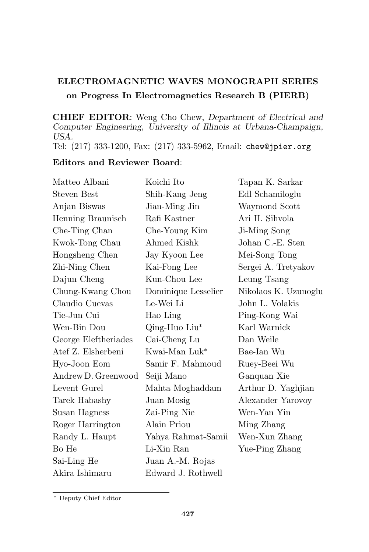## ELECTROMAGNETIC WAVES MONOGRAPH SERIES on Progress In Electromagnetics Research B (PIERB)

CHIEF EDITOR: Weng Cho Chew, Department of Electrical and Computer Engineering, University of Illinois at Urbana-Champaign, USA.

Tel: (217) 333-1200, Fax: (217) 333-5962, Email: chew@jpier.org

## Editors and Reviewer Board:

| Matteo Albani        | Koichi Ito                | Tapan K. Sarkar      |
|----------------------|---------------------------|----------------------|
| Steven Best          | Shih-Kang Jeng            | Edl Schamiloglu      |
| Anjan Biswas         | Jian-Ming Jin             | Waymond Scott        |
| Henning Braunisch    | Rafi Kastner              | Ari H. Sihvola       |
| Che-Ting Chan        | Che-Young Kim             | Ji-Ming Song         |
| Kwok-Tong Chau       | Ahmed Kishk               | Johan C.-E. Sten     |
| Hongsheng Chen       | Jay Kyoon Lee             | Mei-Song Tong        |
| Zhi-Ning Chen        | Kai-Fong Lee              | Sergei A. Tretyakov  |
| Dajun Cheng          | Kun-Chou Lee              | Leung Tsang          |
| Chung-Kwang Chou     | Dominique Lesselier       | Nikolaos K. Uzunoglu |
| Claudio Cuevas       | Le-Wei Li                 | John L. Volakis      |
| Tie-Jun Cui          | Hao Ling                  | Ping-Kong Wai        |
| Wen-Bin Dou          | Qing-Huo Liu*             | Karl Warnick         |
| George Eleftheriades | Cai-Cheng Lu              | Dan Weile            |
| Atef Z. Elsherbeni   | Kwai-Man Luk <sup>*</sup> | Bae-Ian Wu           |
| Hyo-Joon Eom         | Samir F. Mahmoud          | Ruey-Beei Wu         |
| Andrew D. Greenwood  | Seiji Mano                | Ganquan Xie          |
| Levent Gurel         | Mahta Moghaddam           | Arthur D. Yaghjian   |
| Tarek Habashy        | Juan Mosig                | Alexander Yarovoy    |
| Susan Hagness        | Zai-Ping Nie              | Wen-Yan Yin          |
| Roger Harrington     | Alain Priou               | Ming Zhang           |
| Randy L. Haupt       | Yahya Rahmat-Samii        | Wen-Xun Zhang        |
| Bo He                | Li-Xin Ran                | Yue-Ping Zhang       |
| Sai-Ling He          | Juan A.-M. Rojas          |                      |
| Akira Ishimaru       | Edward J. Rothwell        |                      |

<sup>∗</sup> Deputy Chief Editor